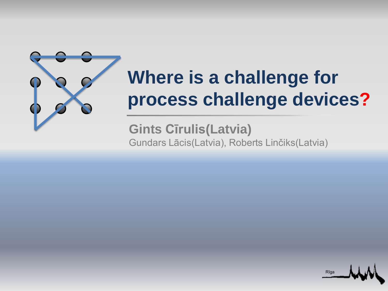

# **Where is a challenge for process challenge devices?**

**Gints Cīrulis(Latvia)** Gundars Lācis(Latvia), Roberts Linčiks(Latvia)

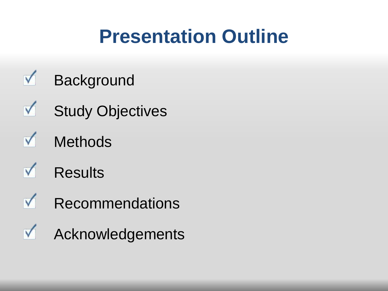# **Presentation Outline**

#### $\blacktriangledown$ Background

- $\blacktriangledown$ Study Objectives
- Methods
- **Results**
- $\sqrt{}$ Recommendations
- $\blacktriangledown$ Acknowledgements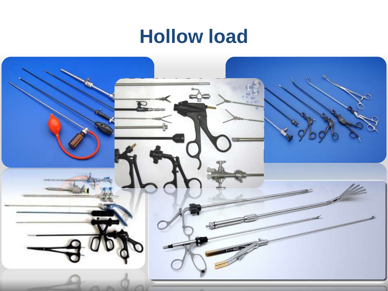## **Hollow load**

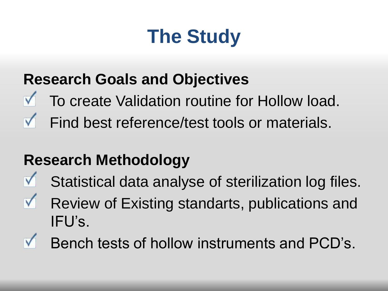# **The Study**

#### **Research Goals and Objectives**

- To create Validation routine for Hollow load.
	- Find best reference/test tools or materials.

#### **Research Methodology**

- Statistical data analyse of sterilization log files.
- Review of Existing standarts, publications and IFU's.
- Bench tests of hollow instruments and PCD's.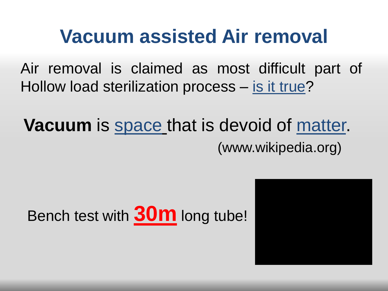# **Vacuum assisted Air removal**

Air removal is claimed as most difficult part of Hollow load sterilization process – is it true?

**Vacuum** is space that is devoid of matter. (www.wikipedia.org)

Bench test with **30m** long tube!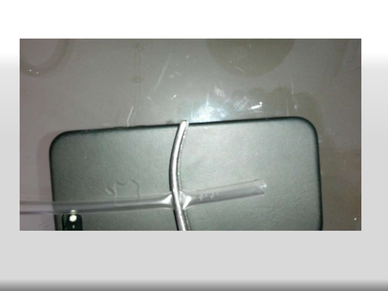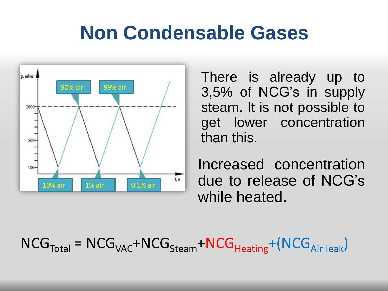# **Non Condensable Gases**



There is already up to 3,5% of NCG's in supply steam. It is not possible to get lower concentration than this.

Increased concentration due to release of NCG's while heated.

 $NCG<sub>Total</sub> = NCG<sub>VAC</sub>+NCG<sub>Steam</sub>+NCG<sub>Heating</sub>+ (NCG<sub>Air leak</sub>)$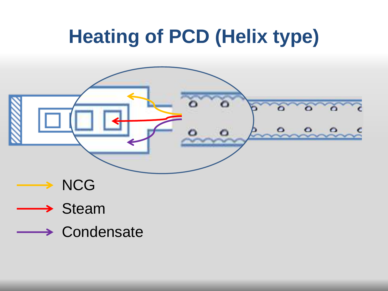# **Heating of PCD (Helix type)**





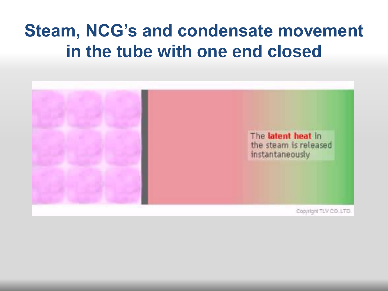#### **Steam, NCG's and condensate movement in the tube with one end closed**

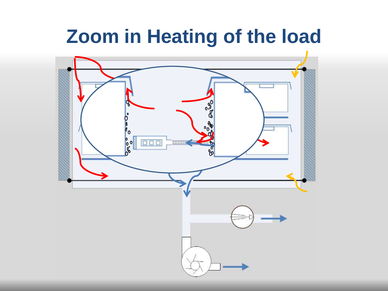# **Zoom in Heating of the load**

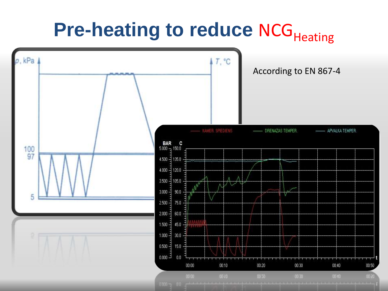# **Pre-heating to reduce NCG Heating**

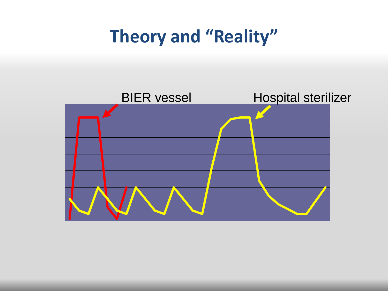#### **Theory and "Reality"**

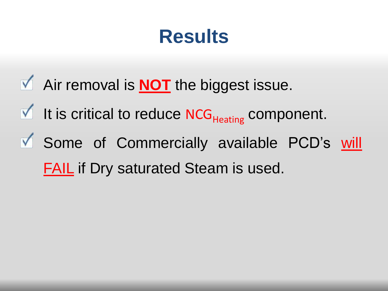## **Results**

- **M** Air removal is **NOT** the biggest issue.
- $\blacksquare$  It is critical to reduce NCG<sub>Heating</sub> component.
- Some of Commercially available PCD's will FAIL if Dry saturated Steam is used.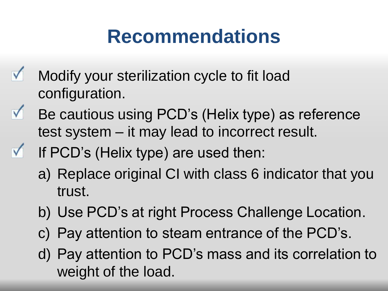# **Recommendations**

- Modify your sterilization cycle to fit load configuration.
- Be cautious using PCD's (Helix type) as reference test system – it may lead to incorrect result.
- $\sqrt{ }$ If PCD's (Helix type) are used then:
	- a) Replace original CI with class 6 indicator that you trust.
	- b) Use PCD's at right Process Challenge Location.
	- c) Pay attention to steam entrance of the PCD's.
	- d) Pay attention to PCD's mass and its correlation to weight of the load.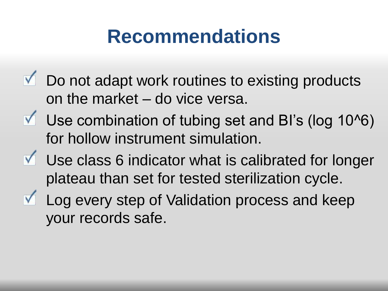## **Recommendations**

- $\blacksquare$  Do not adapt work routines to existing products on the market – do vice versa.
- Use combination of tubing set and BI's (log 10^6) for hollow instrument simulation.
- Use class 6 indicator what is calibrated for longer plateau than set for tested sterilization cycle.
- Log every step of Validation process and keep your records safe.